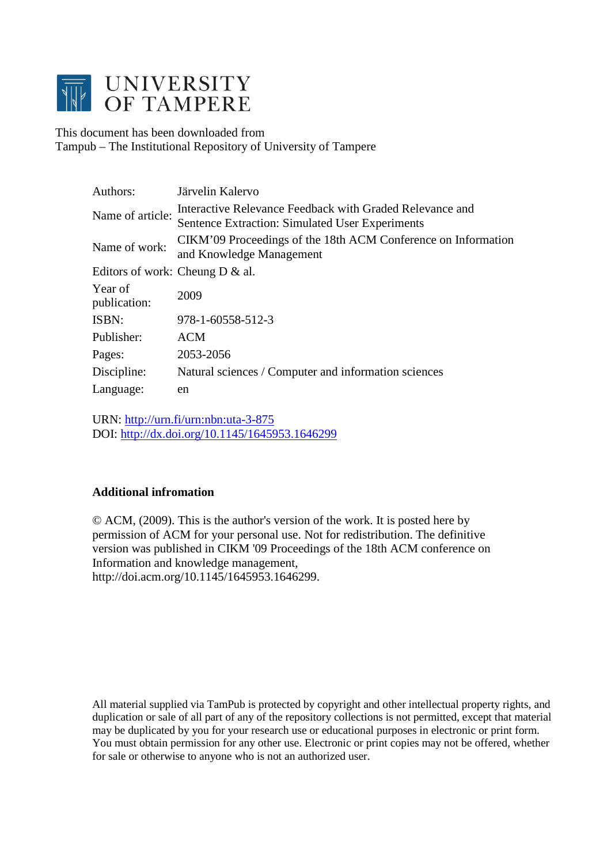

This document has been downloaded from Tampub – The Institutional Repository of University of Tampere

| Authors:                           | Järvelin Kalervo                                                                                                   |
|------------------------------------|--------------------------------------------------------------------------------------------------------------------|
| Name of article:                   | Interactive Relevance Feedback with Graded Relevance and<br><b>Sentence Extraction: Simulated User Experiments</b> |
| Name of work:                      | CIKM'09 Proceedings of the 18th ACM Conference on Information<br>and Knowledge Management                          |
| Editors of work: Cheung D $\&$ al. |                                                                                                                    |
| Year of<br>publication:            | 2009                                                                                                               |
| ISBN:                              | 978-1-60558-512-3                                                                                                  |
| Publisher:                         | <b>ACM</b>                                                                                                         |
| Pages:                             | 2053-2056                                                                                                          |
| Discipline:                        | Natural sciences / Computer and information sciences                                                               |
| Language:                          | en                                                                                                                 |

URN:<http://urn.fi/urn:nbn:uta-3-875> DOI:<http://dx.doi.org/10.1145/1645953.1646299>

# **Additional infromation**

© ACM, (2009). This is the author's version of the work. It is posted here by permission of ACM for your personal use. Not for redistribution. The definitive version was published in CIKM '09 Proceedings of the 18th ACM conference on Information and knowledge management, http://doi.acm.org/10.1145/1645953.1646299.

All material supplied via TamPub is protected by copyright and other intellectual property rights, and duplication or sale of all part of any of the repository collections is not permitted, except that material may be duplicated by you for your research use or educational purposes in electronic or print form. You must obtain permission for any other use. Electronic or print copies may not be offered, whether for sale or otherwise to anyone who is not an authorized user.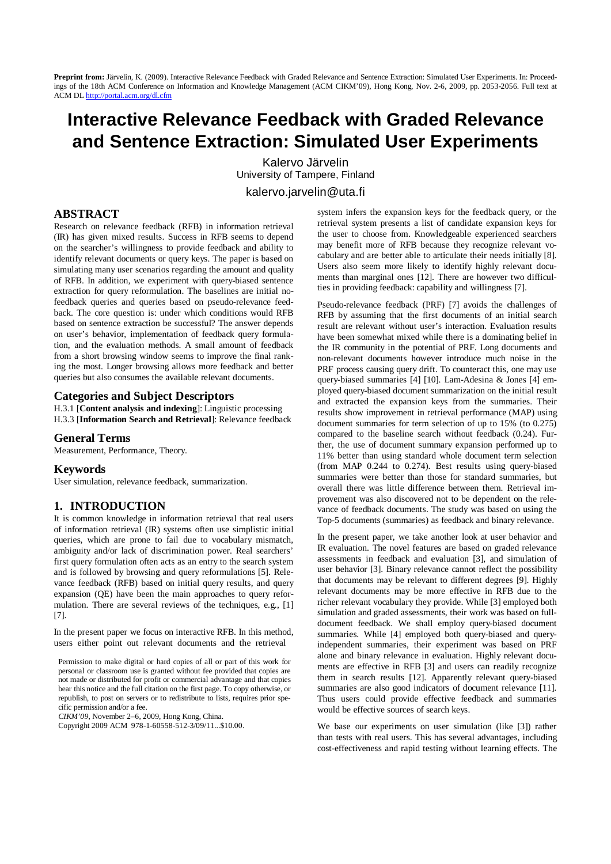# **Interactive Relevance Feedback with Graded Relevance and Sentence Extraction: Simulated User Experiments**

Kalervo Järvelin University of Tampere, Finland [kalervo.jarvelin@uta.fi](mailto:kalervo.jarvelin@uta.fi)

## **ABSTRACT**

Research on relevance feedback (RFB) in information retrieval (IR) has given mixed results. Success in RFB seems to depend on the searcher's willingness to provide feedback and ability to identify relevant documents or query keys. The paper is based on simulating many user scenarios regarding the amount and quality of RFB. In addition, we experiment with query-biased sentence extraction for query reformulation. The baselines are initial nofeedback queries and queries based on pseudo-relevance feedback. The core question is: under which conditions would RFB based on sentence extraction be successful? The answer depends on user's behavior, implementation of feedback query formulation, and the evaluation methods. A small amount of feedback from a short browsing window seems to improve the final ranking the most. Longer browsing allows more feedback and better queries but also consumes the available relevant documents.

#### **Categories and Subject Descriptors**

H.3.1 [**Content analysis and indexing**]: Linguistic processing H.3.3 [**Information Search and Retrieval**]: Relevance feedback

#### **General Terms**

Measurement, Performance, Theory.

#### **Keywords**

User simulation, relevance feedback, summarization.

#### **1. INTRODUCTION**

It is common knowledge in information retrieval that real users of information retrieval (IR) systems often use simplistic initial queries, which are prone to fail due to vocabulary mismatch, ambiguity and/or lack of discrimination power. Real searchers' first query formulation often acts as an entry to the search system and is followed by browsing and query reformulations [5]. Relevance feedback (RFB) based on initial query results, and query expansion (QE) have been the main approaches to query reformulation. There are several reviews of the techniques, e.g., [1] [7].

In the present paper we focus on interactive RFB. In this method, users either point out relevant documents and the retrieval

Permission to make digital or hard copies of all or part of this work for personal or classroom use is granted without fee provided that copies are not made or distributed for profit or commercial advantage and that copies bear this notice and the full citation on the first page. To copy otherwise, or republish, to post on servers or to redistribute to lists, requires prior specific permission and/or a fee.

*CIKM'09*, November 2–6, 2009, Hong Kong, China.

Copyright 2009 ACM 978-1-60558-512-3/09/11...\$10.00.

system infers the expansion keys for the feedback query, or the retrieval system presents a list of candidate expansion keys for the user to choose from. Knowledgeable experienced searchers may benefit more of RFB because they recognize relevant vocabulary and are better able to articulate their needs initially [8]. Users also seem more likely to identify highly relevant documents than marginal ones [12]. There are however two difficulties in providing feedback: capability and willingness [7].

Pseudo-relevance feedback (PRF) [7] avoids the challenges of RFB by assuming that the first documents of an initial search result are relevant without user's interaction. Evaluation results have been somewhat mixed while there is a dominating belief in the IR community in the potential of PRF. Long documents and non-relevant documents however introduce much noise in the PRF process causing query drift. To counteract this, one may use query-biased summaries [4] [10]. Lam-Adesina & Jones [4] employed query-biased document summarization on the initial result and extracted the expansion keys from the summaries. Their results show improvement in retrieval performance (MAP) using document summaries for term selection of up to 15% (to 0.275) compared to the baseline search without feedback (0.24). Further, the use of document summary expansion performed up to 11% better than using standard whole document term selection (from MAP 0.244 to 0.274). Best results using query-biased summaries were better than those for standard summaries, but overall there was little difference between them. Retrieval improvement was also discovered not to be dependent on the relevance of feedback documents. The study was based on using the Top-5 documents (summaries) as feedback and binary relevance.

In the present paper, we take another look at user behavior and IR evaluation. The novel features are based on graded relevance assessments in feedback and evaluation [3], and simulation of user behavior [3]. Binary relevance cannot reflect the possibility that documents may be relevant to different degrees [9]. Highly relevant documents may be more effective in RFB due to the richer relevant vocabulary they provide. While [3] employed both simulation and graded assessments, their work was based on fulldocument feedback. We shall employ query-biased document summaries. While [4] employed both query-biased and queryindependent summaries, their experiment was based on PRF alone and binary relevance in evaluation. Highly relevant documents are effective in RFB [3] and users can readily recognize them in search results [12]. Apparently relevant query-biased summaries are also good indicators of document relevance [11]. Thus users could provide effective feedback and summaries would be effective sources of search keys.

We base our experiments on user simulation (like [3]) rather than tests with real users. This has several advantages, including cost-effectiveness and rapid testing without learning effects. The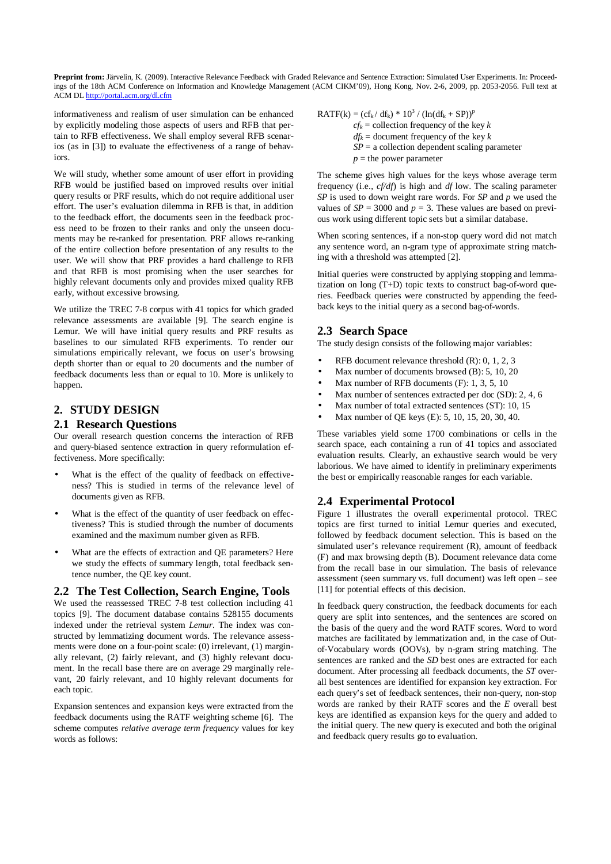informativeness and realism of user simulation can be enhanced by explicitly modeling those aspects of users and RFB that pertain to RFB effectiveness. We shall employ several RFB scenarios (as in [3]) to evaluate the effectiveness of a range of behaviors.

We will study, whether some amount of user effort in providing RFB would be justified based on improved results over initial query results or PRF results, which do not require additional user effort. The user's evaluation dilemma in RFB is that, in addition to the feedback effort, the documents seen in the feedback process need to be frozen to their ranks and only the unseen documents may be re-ranked for presentation. PRF allows re-ranking of the entire collection before presentation of any results to the user. We will show that PRF provides a hard challenge to RFB and that RFB is most promising when the user searches for highly relevant documents only and provides mixed quality RFB early, without excessive browsing.

We utilize the TREC 7-8 corpus with 41 topics for which graded relevance assessments are available [9]. The search engine is Lemur. We will have initial query results and PRF results as baselines to our simulated RFB experiments. To render our simulations empirically relevant, we focus on user's browsing depth shorter than or equal to 20 documents and the number of feedback documents less than or equal to 10. More is unlikely to happen.

# **2. STUDY DESIGN**

#### **2.1 Research Questions**

Our overall research question concerns the interaction of RFB and query-biased sentence extraction in query reformulation effectiveness. More specifically:

- What is the effect of the quality of feedback on effectiveness? This is studied in terms of the relevance level of documents given as RFB.
- What is the effect of the quantity of user feedback on effectiveness? This is studied through the number of documents examined and the maximum number given as RFB.
- What are the effects of extraction and QE parameters? Here we study the effects of summary length, total feedback sentence number, the QE key count.

**2.2 The Test Collection, Search Engine, Tools** We used the reassessed TREC 7-8 test collection including 41 topics [9]. The document database contains 528155 documents indexed under the retrieval system *Lemur*. The index was constructed by lemmatizing document words. The relevance assessments were done on a four-point scale: (0) irrelevant, (1) marginally relevant, (2) fairly relevant, and (3) highly relevant document. In the recall base there are on average 29 marginally relevant, 20 fairly relevant, and 10 highly relevant documents for each topic.

Expansion sentences and expansion keys were extracted from the feedback documents using the RATF weighting scheme [6]. The scheme computes *relative average term frequency* values for key words as follows:

 $RATF(k) = (cf_k/df_k) * 10^3 / (ln(df_k + SP))^F$  $cf_k$  = collection frequency of the key  $k$  $df_k$  = document frequency of the key *k*  $SP = a$  collection dependent scaling parameter  $p =$  the power parameter

The scheme gives high values for the keys whose average term frequency (i.e., *cf/df*) is high and *df* low. The scaling parameter *SP* is used to down weight rare words. For *SP* and *p* we used the values of  $SP = 3000$  and  $p = 3$ . These values are based on previous work using different topic sets but a similar database.

When scoring sentences, if a non-stop query word did not match any sentence word, an n-gram type of approximate string matching with a threshold was attempted [2].

Initial queries were constructed by applying stopping and lemmatization on long (T+D) topic texts to construct bag-of-word queries. Feedback queries were constructed by appending the feedback keys to the initial query as a second bag-of-words.

## **2.3 Search Space**

The study design consists of the following major variables:

- RFB document relevance threshold (R): 0, 1, 2, 3
- Max number of documents browsed (B): 5, 10, 20
- Max number of RFB documents (F): 1, 3, 5, 10
- Max number of sentences extracted per doc (SD): 2, 4, 6
- Max number of total extracted sentences (ST): 10, 15
- Max number of QE keys (E): 5, 10, 15, 20, 30, 40.

These variables yield some 1700 combinations or cells in the search space, each containing a run of 41 topics and associated evaluation results. Clearly, an exhaustive search would be very laborious. We have aimed to identify in preliminary experiments the best or empirically reasonable ranges for each variable.

## **2.4 Experimental Protocol**

Figure 1 illustrates the overall experimental protocol. TREC topics are first turned to initial Lemur queries and executed, followed by feedback document selection. This is based on the simulated user's relevance requirement (R), amount of feedback (F) and max browsing depth (B). Document relevance data come from the recall base in our simulation. The basis of relevance assessment (seen summary vs. full document) was left open – see [11] for potential effects of this decision.

In feedback query construction, the feedback documents for each query are split into sentences, and the sentences are scored on the basis of the query and the word RATF scores. Word to word matches are facilitated by lemmatization and, in the case of Outof-Vocabulary words (OOVs), by n-gram string matching. The sentences are ranked and the *SD* best ones are extracted for each document. After processing all feedback documents, the *ST* overall best sentences are identified for expansion key extraction. For each query's set of feedback sentences, their non-query, non-stop words are ranked by their RATF scores and the *E* overall best keys are identified as expansion keys for the query and added to the initial query. The new query is executed and both the original and feedback query results go to evaluation.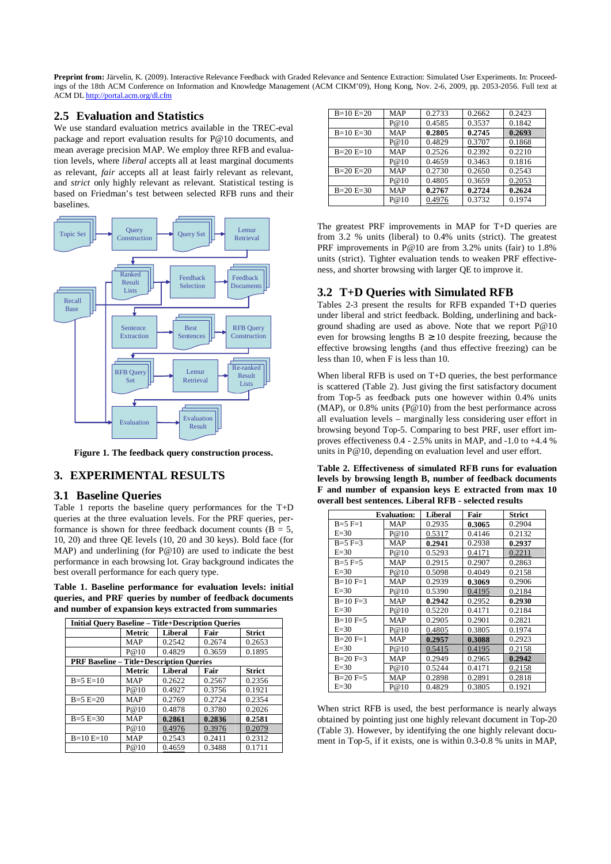## **2.5 Evaluation and Statistics**

We use standard evaluation metrics available in the TREC-eval package and report evaluation results for P@10 documents, and mean average precision MAP. We employ three RFB and evaluation levels, where *liberal* accepts all at least marginal documents as relevant, *fair* accepts all at least fairly relevant as relevant, and *strict* only highly relevant as relevant. Statistical testing is based on Friedman's test between selected RFB runs and their baselines.



**Figure 1. The feedback query construction process.**

## **3. EXPERIMENTAL RESULTS**

#### **3.1 Baseline Queries**

Table 1 reports the baseline query performances for the T+D queries at the three evaluation levels. For the PRF queries, performance is shown for three feedback document counts ( $B = 5$ , 10, 20) and three QE levels (10, 20 and 30 keys). Bold face (for MAP) and underlining (for P@10) are used to indicate the best performance in each browsing lot. Gray background indicates the best overall performance for each query type.

**Table 1. Baseline performance for evaluation levels: initial queries, and PRF queries by number of feedback documents and number of expansion keys extracted from summaries**

| <b>Initial Ouery Baseline – Title+Description Oueries</b> |                                                 |                |        |               |  |
|-----------------------------------------------------------|-------------------------------------------------|----------------|--------|---------------|--|
|                                                           | Metric                                          | Liberal        | Fair   | Strict        |  |
|                                                           | <b>MAP</b>                                      | 0.2542         | 0.2674 | 0.2653        |  |
|                                                           | P@10                                            | 0.4829         | 0.3659 | 0.1895        |  |
|                                                           | <b>PRF Baseline – Title+Description Queries</b> |                |        |               |  |
|                                                           | Metric                                          | <b>Liberal</b> | Fair   | <b>Strict</b> |  |
| $B=5 E=10$                                                | <b>MAP</b>                                      | 0.2622         | 0.2567 | 0.2356        |  |
|                                                           | P@10                                            | 0.4927         | 0.3756 | 0.1921        |  |
| $B=5 E=20$                                                | <b>MAP</b>                                      | 0.2769         | 0.2724 | 0.2354        |  |
|                                                           | P@10                                            | 0.4878         | 0.3780 | 0.2026        |  |
| $B=5 E=30$                                                | <b>MAP</b>                                      | 0.2861         | 0.2836 | 0.2581        |  |
|                                                           | P@10                                            | 0.4976         | 0.3976 | 0.2079        |  |
| $B=10 E=10$                                               | <b>MAP</b>                                      | 0.2543         | 0.2411 | 0.2312        |  |
|                                                           | P@10                                            | 0.4659         | 0.3488 | 0.1711        |  |

| $B=10 E=20$ | <b>MAP</b> | 0.2733 | 0.2662 | 0.2423 |
|-------------|------------|--------|--------|--------|
|             | P@10       | 0.4585 | 0.3537 | 0.1842 |
| $B=10 E=30$ | <b>MAP</b> | 0.2805 | 0.2745 | 0.2693 |
|             | P@10       | 0.4829 | 0.3707 | 0.1868 |
| $B=20 E=10$ | <b>MAP</b> | 0.2526 | 0.2392 | 0.2210 |
|             | P@10       | 0.4659 | 0.3463 | 0.1816 |
| $B=20 E=20$ | MAP        | 0.2730 | 0.2650 | 0.2543 |
|             | P@10       | 0.4805 | 0.3659 | 0.2053 |
| $B=20 E=30$ | <b>MAP</b> | 0.2767 | 0.2724 | 0.2624 |
|             | P@10       | 0.4976 | 0.3732 | 0.1974 |

The greatest PRF improvements in MAP for T+D queries are from 3.2 % units (liberal) to 0.4% units (strict). The greatest PRF improvements in P@10 are from 3.2% units (fair) to 1.8% units (strict). Tighter evaluation tends to weaken PRF effectiveness, and shorter browsing with larger QE to improve it.

## **3.2 T+D Queries with Simulated RFB**

Tables 2-3 present the results for RFB expanded T+D queries under liberal and strict feedback. Bolding, underlining and background shading are used as above. Note that we report P@10 even for browsing lengths  $B \ge 10$  despite freezing, because the effective browsing lengths (and thus effective freezing) can be less than 10, when F is less than 10.

When liberal RFB is used on T+D queries, the best performance is scattered (Table 2). Just giving the first satisfactory document from Top-5 as feedback puts one however within 0.4% units (MAP), or 0.8% units (P@10) from the best performance across all evaluation levels – marginally less considering user effort in browsing beyond Top-5. Comparing to best PRF, user effort improves effectiveness 0.4 - 2.5% units in MAP, and -1.0 to +4.4 % units in P@10, depending on evaluation level and user effort.

**Table 2. Effectiveness of simulated RFB runs for evaluation levels by browsing length B, number of feedback documents F and number of expansion keys E extracted from max 10 overall best sentences. Liberal RFB - selected results**

|                | <b>Evaluation:</b> | Liberal | Fair   | Strict |
|----------------|--------------------|---------|--------|--------|
| $B=5$ F=1      | <b>MAP</b>         | 0.2935  | 0.3065 | 0.2904 |
| $E=30$         | P@10               | 0.5317  | 0.4146 | 0.2132 |
| $B=5$ F=3      | MAP                | 0.2941  | 0.2938 | 0.2937 |
| $E=30$         | P@10               | 0.5293  | 0.4171 | 0.2211 |
| $B=5$ F=5      | MAP                | 0.2915  | 0.2907 | 0.2863 |
| $E=30$         | P@10               | 0.5098  | 0.4049 | 0.2158 |
| $B=10 F=1$     | MAP                | 0.2939  | 0.3069 | 0.2906 |
| $E=30$         | P@10               | 0.5390  | 0.4195 | 0.2184 |
| $B=10 F=3$     | MAP                | 0.2942  | 0.2952 | 0.2930 |
| $E=30$         | P@10               | 0.5220  | 0.4171 | 0.2184 |
| $B=10 F=5$     | MAP                | 0.2905  | 0.2901 | 0.2821 |
| $E=30$         | P@10               | 0.4805  | 0.3805 | 0.1974 |
| $B=20 F=1$     | MAP                | 0.2957  | 0.3088 | 0.2923 |
| $E=30$         | P@10               | 0.5415  | 0.4195 | 0.2158 |
| $B=20 F=3$     | MAP                | 0.2949  | 0.2965 | 0.2942 |
| $E=30$         | P@10               | 0.5244  | 0.4171 | 0.2158 |
| $B = 20 F = 5$ | MAP                | 0.2898  | 0.2891 | 0.2818 |
| $E=30$         | P@10               | 0.4829  | 0.3805 | 0.1921 |

When strict RFB is used, the best performance is nearly always obtained by pointing just one highly relevant document in Top-20 (Table 3). However, by identifying the one highly relevant document in Top-5, if it exists, one is within 0.3-0.8 % units in MAP,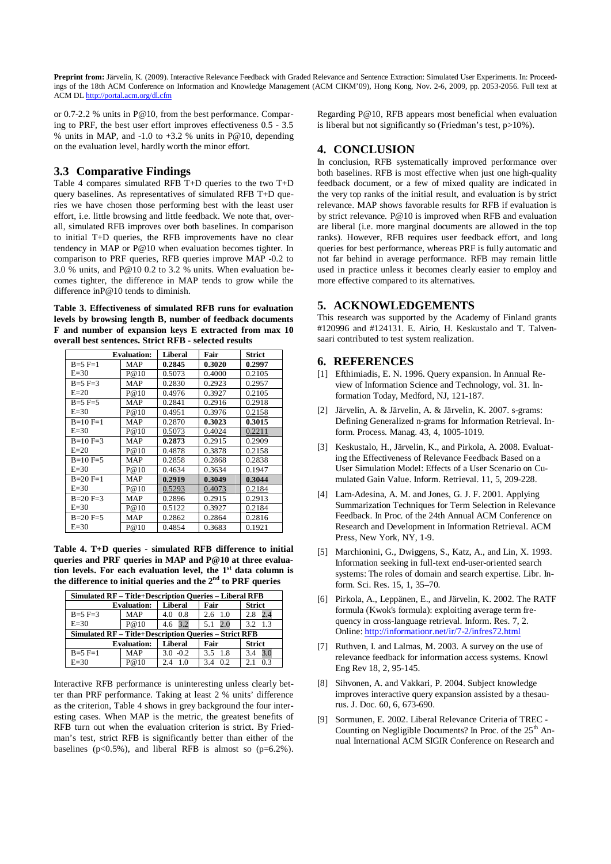or 0.7-2.2 % units in P@10, from the best performance. Comparing to PRF, the best user effort improves effectiveness 0.5 - 3.5 % units in MAP, and -1.0 to +3.2 % units in P@10, depending on the evaluation level, hardly worth the minor effort.

## **3.3 Comparative Findings**

Table 4 compares simulated RFB T+D queries to the two T+D query baselines. As representatives of simulated RFB T+D queries we have chosen those performing best with the least user effort, i.e. little browsing and little feedback. We note that, overall, simulated RFB improves over both baselines. In comparison to initial T+D queries, the RFB improvements have no clear tendency in MAP or P@10 when evaluation becomes tighter. In comparison to PRF queries, RFB queries improve MAP -0.2 to 3.0 % units, and P@10 0.2 to 3.2 % units. When evaluation becomes tighter, the difference in MAP tends to grow while the difference inP@10 tends to diminish.

**Table 3. Effectiveness of simulated RFB runs for evaluation levels by browsing length B, number of feedback documents F and number of expansion keys E extracted from max 10 overall best sentences. Strict RFB - selected results**

|            | <b>Evaluation:</b> | <b>Liberal</b> | Fair   | <b>Strict</b> |
|------------|--------------------|----------------|--------|---------------|
| $B=5$ F=1  | <b>MAP</b>         | 0.2845         | 0.3020 | 0.2997        |
| $E=30$     | P@10               | 0.5073         | 0.4000 | 0.2105        |
| $B=5$ F=3  | MAP                | 0.2830         | 0.2923 | 0.2957        |
| $E=20$     | P@10               | 0.4976         | 0.3927 | 0.2105        |
| $B=5$ F=5  | MAP                | 0.2841         | 0.2916 | 0.2918        |
| $E=30$     | P@10               | 0.4951         | 0.3976 | 0.2158        |
| $B=10 F=1$ | MAP                | 0.2870         | 0.3023 | 0.3015        |
| $E=30$     | P@10               | 0.5073         | 0.4024 | 0.2211        |
| $B=10 F=3$ | MAP                | 0.2873         | 0.2915 | 0.2909        |
| $E=20$     | P@10               | 0.4878         | 0.3878 | 0.2158        |
| $B=10 F=5$ | MAP                | 0.2858         | 0.2868 | 0.2838        |
| $E=30$     | P@10               | 0.4634         | 0.3634 | 0.1947        |
| $B=20 F=1$ | MAP                | 0.2919         | 0.3049 | 0.3044        |
| $E=30$     | P@10               | 0.5293         | 0.4073 | 0.2184        |
| $B=20 F=3$ | MAP                | 0.2896         | 0.2915 | 0.2913        |
| $E=30$     | P@10               | 0.5122         | 0.3927 | 0.2184        |
| $B=20 F=5$ | <b>MAP</b>         | 0.2862         | 0.2864 | 0.2816        |
| $E=30$     | P@10               | 0.4854         | 0.3683 | 0.1921        |

**Table 4. T+D queries - simulated RFB difference to initial queries and PRF queries in MAP and P@10 at three evaluation levels. For each evaluation level, the 1st data column is the difference to initial queries and the 2nd to PRF queries**

| <b>Simulated RF - Title+Description Queries - Liberal RFB</b> |                    |                |                 |                   |
|---------------------------------------------------------------|--------------------|----------------|-----------------|-------------------|
|                                                               | <b>Evaluation:</b> | Liberal        | Fair            | <b>Strict</b>     |
| $B = 5 F = 3$                                                 | <b>MAP</b>         | 0.8<br>4.0     | $2.6 \quad 1.0$ | 2.4<br>2.8        |
| $E=30$                                                        | P@10               | 4.6 3.2        | 2.0<br>5.1      | 1.3<br>3.2        |
| <b>Simulated RF – Title+Description Queries – Strict RFB</b>  |                    |                |                 |                   |
|                                                               | <b>Evaluation:</b> | <b>Liberal</b> | Fair            | <b>Strict</b>     |
| $B = 5$ F=1                                                   | <b>MAP</b>         | $3.0 - 0.2$    | 1.8<br>35       | 3.0<br>3.4        |
| $E=30$                                                        | P@10               | 1.0<br>2.4     | 0.2<br>3.4      | 03<br>$2^{\circ}$ |

Interactive RFB performance is uninteresting unless clearly better than PRF performance. Taking at least 2 % units' difference as the criterion, Table 4 shows in grey background the four interesting cases. When MAP is the metric, the greatest benefits of RFB turn out when the evaluation criterion is strict. By Friedman's test, strict RFB is significantly better than either of the baselines ( $p<0.5\%$ ), and liberal RFB is almost so ( $p=6.2\%$ ).

Regarding P@10, RFB appears most beneficial when evaluation is liberal but not significantly so (Friedman's test, p>10%).

# **4. CONCLUSION**

In conclusion, RFB systematically improved performance over both baselines. RFB is most effective when just one high-quality feedback document, or a few of mixed quality are indicated in the very top ranks of the initial result, and evaluation is by strict relevance. MAP shows favorable results for RFB if evaluation is by strict relevance. P@10 is improved when RFB and evaluation are liberal (i.e. more marginal documents are allowed in the top ranks). However, RFB requires user feedback effort, and long queries for best performance, whereas PRF is fully automatic and not far behind in average performance. RFB may remain little used in practice unless it becomes clearly easier to employ and more effective compared to its alternatives.

#### **5. ACKNOWLEDGEMENTS**

This research was supported by the Academy of Finland grants #120996 and #124131. E. Airio, H. Keskustalo and T. Talvensaari contributed to test system realization.

#### **6. REFERENCES**

- [1] Efthimiadis, E. N. 1996. Query expansion. In Annual Review of Information Science and Technology, vol. 31. Information Today, Medford, NJ, 121-187.
- [2] Järvelin, A. & Järvelin, A. & Järvelin, K. 2007. s-grams: Defining Generalized n-grams for Information Retrieval. Inform. Process. Manag. 43, 4, 1005-1019.
- [3] Keskustalo, H., Järvelin, K., and Pirkola, A. 2008. Evaluating the Effectiveness of Relevance Feedback Based on a User Simulation Model: Effects of a User Scenario on Cumulated Gain Value. Inform. Retrieval. 11, 5, 209-228.
- [4] Lam-Adesina, A. M. and Jones, G. J. F. 2001. Applying Summarization Techniques for Term Selection in Relevance Feedback. In Proc. of the 24th Annual ACM Conference on Research and Development in Information Retrieval. ACM Press, New York, NY, 1-9.
- [5] Marchionini, G., Dwiggens, S., Katz, A., and Lin, X. 1993. Information seeking in full-text end-user-oriented search systems: The roles of domain and search expertise. Libr. Inform. Sci. Res. 15, 1, 35–70.
- [6] Pirkola, A., Leppänen, E., and Järvelin, K. 2002. The RATF formula (Kwok's formula): exploiting average term frequency in cross-language retrieval. Inform. Res. 7, 2. Online: <http://informationr.net/ir/7-2/infres72.html>
- [7] Ruthven, I. and Lalmas, M. 2003. A survey on the use of relevance feedback for information access systems. Knowl Eng Rev 18, 2, 95-145.
- [8] Sihvonen, A. and Vakkari, P. 2004. Subject knowledge improves interactive query expansion assisted by a thesaurus. J. Doc. 60, 6, 673-690.
- [9] Sormunen, E. 2002. Liberal Relevance Criteria of TREC Counting on Negligible Documents? In Proc. of the  $25<sup>th</sup>$  Annual International ACM SIGIR Conference on Research and